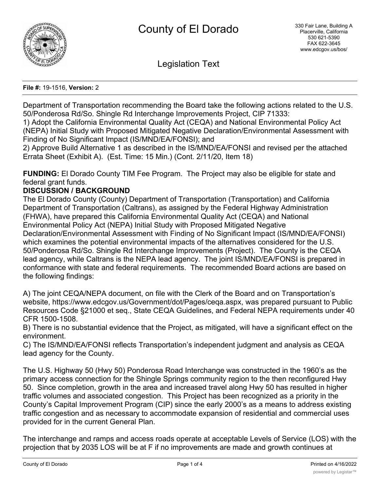

Legislation Text

#### **File #:** 19-1516, **Version:** 2

Department of Transportation recommending the Board take the following actions related to the U.S. 50/Ponderosa Rd/So. Shingle Rd Interchange Improvements Project, CIP 71333:

1) Adopt the California Environmental Quality Act (CEQA) and National Environmental Policy Act (NEPA) Initial Study with Proposed Mitigated Negative Declaration/Environmental Assessment with Finding of No Significant Impact (IS/MND/EA/FONSI); and

2) Approve Build Alternative 1 as described in the IS/MND/EA/FONSI and revised per the attached Errata Sheet (Exhibit A). (Est. Time: 15 Min.) (Cont. 2/11/20, Item 18)

**FUNDING:** El Dorado County TIM Fee Program. The Project may also be eligible for state and federal grant funds.

### **DISCUSSION / BACKGROUND**

The El Dorado County (County) Department of Transportation (Transportation) and California Department of Transportation (Caltrans), as assigned by the Federal Highway Administration (FHWA), have prepared this California Environmental Quality Act (CEQA) and National Environmental Policy Act (NEPA) Initial Study with Proposed Mitigated Negative Declaration/Environmental Assessment with Finding of No Significant Impact (IS/MND/EA/FONSI) which examines the potential environmental impacts of the alternatives considered for the U.S. 50/Ponderosa Rd/So. Shingle Rd Interchange Improvements (Project). The County is the CEQA lead agency, while Caltrans is the NEPA lead agency. The joint IS/MND/EA/FONSI is prepared in conformance with state and federal requirements. The recommended Board actions are based on the following findings:

A) The joint CEQA/NEPA document, on file with the Clerk of the Board and on Transportation's website, https://www.edcgov.us/Government/dot/Pages/ceqa.aspx, was prepared pursuant to Public Resources Code §21000 et seq., State CEQA Guidelines, and Federal NEPA requirements under 40 CFR 1500-1508.

B) There is no substantial evidence that the Project, as mitigated, will have a significant effect on the environment.

C) The IS/MND/EA/FONSI reflects Transportation's independent judgment and analysis as CEQA lead agency for the County.

The U.S. Highway 50 (Hwy 50) Ponderosa Road Interchange was constructed in the 1960's as the primary access connection for the Shingle Springs community region to the then reconfigured Hwy 50. Since completion, growth in the area and increased travel along Hwy 50 has resulted in higher traffic volumes and associated congestion. This Project has been recognized as a priority in the County's Capital Improvement Program (CIP) since the early 2000's as a means to address existing traffic congestion and as necessary to accommodate expansion of residential and commercial uses provided for in the current General Plan.

The interchange and ramps and access roads operate at acceptable Levels of Service (LOS) with the projection that by 2035 LOS will be at F if no improvements are made and growth continues at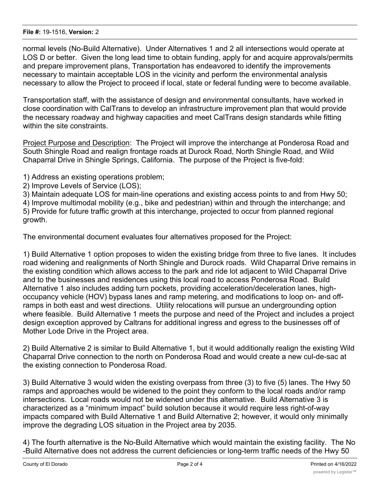#### **File #:** 19-1516, **Version:** 2

normal levels (No-Build Alternative). Under Alternatives 1 and 2 all intersections would operate at LOS D or better. Given the long lead time to obtain funding, apply for and acquire approvals/permits and prepare improvement plans, Transportation has endeavored to identify the improvements necessary to maintain acceptable LOS in the vicinity and perform the environmental analysis necessary to allow the Project to proceed if local, state or federal funding were to become available.

Transportation staff, with the assistance of design and environmental consultants, have worked in close coordination with CalTrans to develop an infrastructure improvement plan that would provide the necessary roadway and highway capacities and meet CalTrans design standards while fitting within the site constraints.

Project Purpose and Description: The Project will improve the interchange at Ponderosa Road and South Shingle Road and realign frontage roads at Durock Road, North Shingle Road, and Wild Chaparral Drive in Shingle Springs, California. The purpose of the Project is five-fold:

1) Address an existing operations problem;

2) Improve Levels of Service (LOS);

3) Maintain adequate LOS for main-line operations and existing access points to and from Hwy 50;

4) Improve multimodal mobility (e.g., bike and pedestrian) within and through the interchange; and 5) Provide for future traffic growth at this interchange, projected to occur from planned regional growth.

The environmental document evaluates four alternatives proposed for the Project:

1) Build Alternative 1 option proposes to widen the existing bridge from three to five lanes. It includes road widening and realignments of North Shingle and Durock roads. Wild Chaparral Drive remains in the existing condition which allows access to the park and ride lot adjacent to Wild Chaparral Drive and to the businesses and residences using this local road to access Ponderosa Road. Build Alternative 1 also includes adding turn pockets, providing acceleration/deceleration lanes, highoccupancy vehicle (HOV) bypass lanes and ramp metering, and modifications to loop on- and offramps in both east and west directions. Utility relocations will pursue an undergrounding option where feasible. Build Alternative 1 meets the purpose and need of the Project and includes a project design exception approved by Caltrans for additional ingress and egress to the businesses off of Mother Lode Drive in the Project area.

2) Build Alternative 2 is similar to Build Alternative 1, but it would additionally realign the existing Wild Chaparral Drive connection to the north on Ponderosa Road and would create a new cul-de-sac at the existing connection to Ponderosa Road.

3) Build Alternative 3 would widen the existing overpass from three (3) to five (5) lanes. The Hwy 50 ramps and approaches would be widened to the point they conform to the local roads and/or ramp intersections. Local roads would not be widened under this alternative. Build Alternative 3 is characterized as a "minimum impact" build solution because it would require less right-of-way impacts compared with Build Alternative 1 and Build Alternative 2; however, it would only minimally improve the degrading LOS situation in the Project area by 2035.

4) The fourth alternative is the No-Build Alternative which would maintain the existing facility. The No -Build Alternative does not address the current deficiencies or long-term traffic needs of the Hwy 50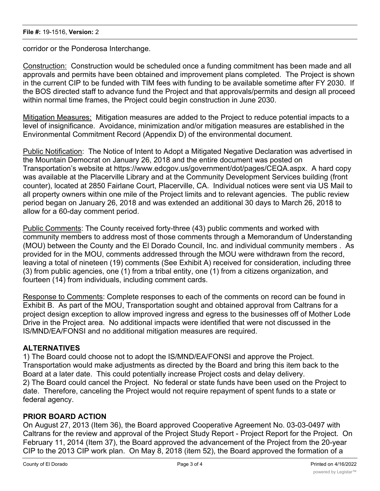corridor or the Ponderosa Interchange.

Construction: Construction would be scheduled once a funding commitment has been made and all approvals and permits have been obtained and improvement plans completed. The Project is shown in the current CIP to be funded with TIM fees with funding to be available sometime after FY 2030. If the BOS directed staff to advance fund the Project and that approvals/permits and design all proceed within normal time frames, the Project could begin construction in June 2030.

Mitigation Measures: Mitigation measures are added to the Project to reduce potential impacts to a level of insignificance. Avoidance, minimization and/or mitigation measures are established in the Environmental Commitment Record (Appendix D) of the environmental document.

Public Notification: The Notice of Intent to Adopt a Mitigated Negative Declaration was advertised in the Mountain Democrat on January 26, 2018 and the entire document was posted on Transportation's website at https://www.edcgov.us/government/dot/pages/CEQA.aspx. A hard copy was available at the Placerville Library and at the Community Development Services building (front counter), located at 2850 Fairlane Court, Placerville, CA. Individual notices were sent via US Mail to all property owners within one mile of the Project limits and to relevant agencies. The public review period began on January 26, 2018 and was extended an additional 30 days to March 26, 2018 to allow for a 60-day comment period.

Public Comments: The County received forty-three (43) public comments and worked with community members to address most of those comments through a Memorandum of Understanding (MOU) between the County and the El Dorado Council, Inc. and individual community members . As provided for in the MOU, comments addressed through the MOU were withdrawn from the record, leaving a total of nineteen (19) comments (See Exhibit A) received for consideration, including three (3) from public agencies, one (1) from a tribal entity, one (1) from a citizens organization, and fourteen (14) from individuals, including comment cards.

Response to Comments: Complete responses to each of the comments on record can be found in Exhibit B. As part of the MOU, Transportation sought and obtained approval from Caltrans for a project design exception to allow improved ingress and egress to the businesses off of Mother Lode Drive in the Project area. No additional impacts were identified that were not discussed in the IS/MND/EA/FONSI and no additional mitigation measures are required.

# **ALTERNATIVES**

1) The Board could choose not to adopt the IS/MND/EA/FONSI and approve the Project. Transportation would make adjustments as directed by the Board and bring this item back to the Board at a later date. This could potentially increase Project costs and delay delivery. 2) The Board could cancel the Project. No federal or state funds have been used on the Project to date. Therefore, canceling the Project would not require repayment of spent funds to a state or federal agency.

# **PRIOR BOARD ACTION**

On August 27, 2013 (Item 36), the Board approved Cooperative Agreement No. 03-03-0497 with Caltrans for the review and approval of the Project Study Report - Project Report for the Project. On February 11, 2014 (Item 37), the Board approved the advancement of the Project from the 20-year CIP to the 2013 CIP work plan. On May 8, 2018 (item 52), the Board approved the formation of a